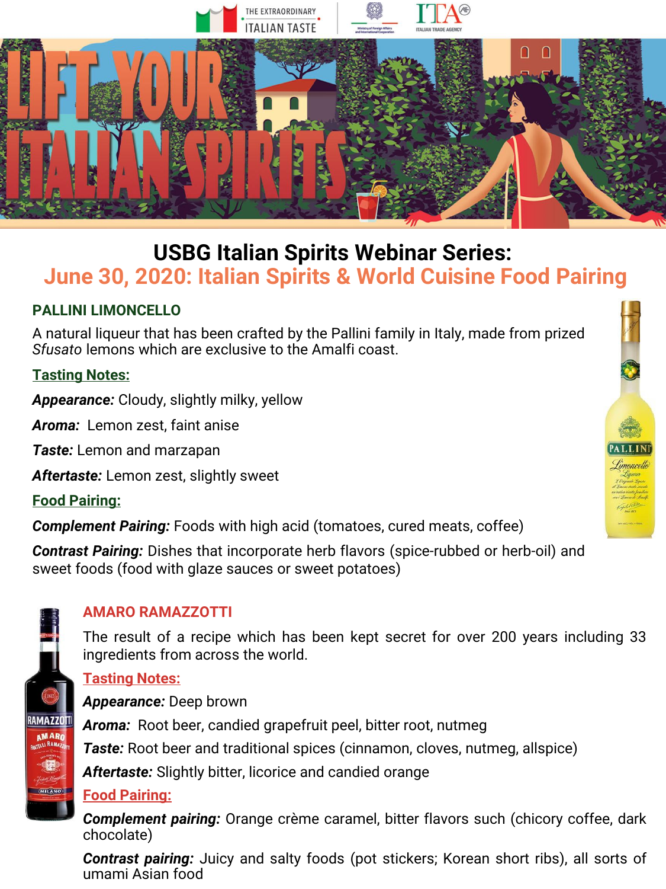

# **USBG Italian Spirits Webinar Series: June 30, 2020: Italian Spirits & World Cuisine Food Pairing**

## **PALLINI LIMONCELLO**

A natural liqueur that has been crafted by the Pallini family in Italy, made from prized *Sfusato* lemons which are exclusive to the Amalfi coast.

## **Tasting Notes:**

*Appearance:* Cloudy, slightly milky, yellow

*Aroma:* Lemon zest, faint anise

*Taste:* Lemon and marzapan

*Aftertaste:* Lemon zest, slightly sweet

**Food Pairing:**

*Complement Pairing:* Foods with high acid (tomatoes, cured meats, coffee)

*Contrast Pairing:* Dishes that incorporate herb flavors (spice-rubbed or herb-oil) and sweet foods (food with glaze sauces or sweet potatoes)



# **AMARO RAMAZZOTTI**

The result of a recipe which has been kept secret for over 200 years including 33 ingredients from across the world.

#### **Tasting Notes:**

*Appearance:* Deep brown *Aroma:* Root beer, candied grapefruit peel, bitter root, nutmeg **Taste:** Root beer and traditional spices (cinnamon, cloves, nutmeg, allspice) *Aftertaste:* Slightly bitter, licorice and candied orange

### **Food Pairing:**

*Complement pairing:* Orange crème caramel, bitter flavors such (chicory coffee, dark chocolate)

*Contrast pairing:* Juicy and salty foods (pot stickers; Korean short ribs), all sorts of umami Asian food